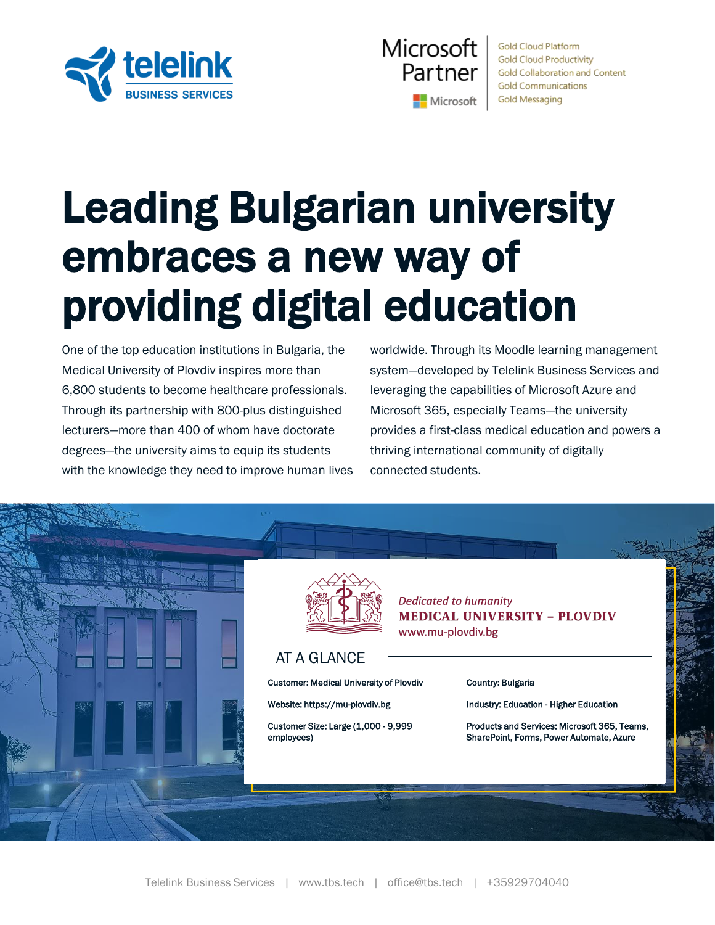



**Gold Cloud Platform Gold Cloud Productivity Gold Collaboration and Content Gold Communications Gold Messaging** 

# Leading Bulgarian university embraces a new way of providing digital education

One of the top education institutions in Bulgaria, the Medical University of Plovdiv inspires more than 6,800 students to become healthcare professionals. Through its partnership with 800-plus distinguished lecturers—more than 400 of whom have doctorate degrees—the university aims to equip its students with the knowledge they need to improve human lives worldwide. Through its Moodle learning management system—developed by Telelink Business Services and leveraging the capabilities of Microsoft Azure and Microsoft 365, especially Teams—the university provides a first-class medical education and powers a thriving international community of digitally connected students.



AT A GLANCE

Customer: Medical University of Plovdiv

Website: https://mu-plovdiv.bg

Customer Size: Large (1,000 - 9,999 employees)

**Dedicated to humanity MEDICAL UNIVERSITY - PLOVDIV** www.mu-plovdiv.bg

#### Country: Bulgaria

Industry: Education - Higher Education

Products and Services: Microsoft 365, Teams, SharePoint, Forms, Power Automate, Azure